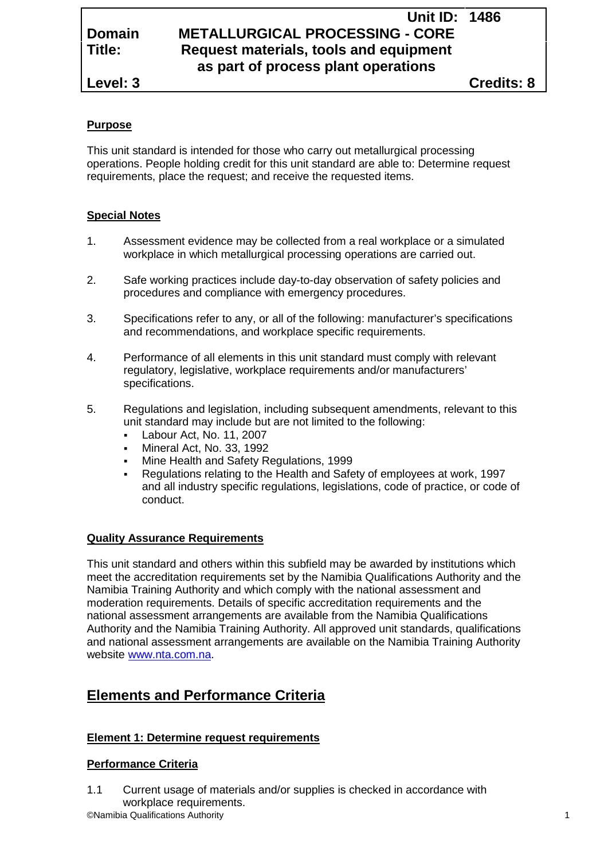# **Unit ID: 1486 Domain METALLURGICAL PROCESSING - CORE Title: Request materials, tools and equipment as part of process plant operations**

**Level: 3 Credits: 8**

### **Purpose**

This unit standard is intended for those who carry out metallurgical processing operations. People holding credit for this unit standard are able to: Determine request requirements, place the request; and receive the requested items.

#### **Special Notes**

- 1. Assessment evidence may be collected from a real workplace or a simulated workplace in which metallurgical processing operations are carried out.
- 2. Safe working practices include day-to-day observation of safety policies and procedures and compliance with emergency procedures.
- 3. Specifications refer to any, or all of the following: manufacturer's specifications and recommendations, and workplace specific requirements.
- 4. Performance of all elements in this unit standard must comply with relevant regulatory, legislative, workplace requirements and/or manufacturers' specifications.
- 5. Regulations and legislation, including subsequent amendments, relevant to this unit standard may include but are not limited to the following:
	- Labour Act, No. 11, 2007
	- Mineral Act, No. 33, 1992
	- Mine Health and Safety Regulations, 1999
	- Regulations relating to the Health and Safety of employees at work, 1997 and all industry specific regulations, legislations, code of practice, or code of conduct.

#### **Quality Assurance Requirements**

This unit standard and others within this subfield may be awarded by institutions which meet the accreditation requirements set by the Namibia Qualifications Authority and the Namibia Training Authority and which comply with the national assessment and moderation requirements. Details of specific accreditation requirements and the national assessment arrangements are available from the Namibia Qualifications Authority and the Namibia Training Authority. All approved unit standards, qualifications and national assessment arrangements are available on the Namibia Training Authority website www.nta.com.na.

# **Elements and Performance Criteria**

#### **Element 1: Determine request requirements**

#### **Performance Criteria**

©Namibia Qualifications Authority 1 1.1 Current usage of materials and/or supplies is checked in accordance with workplace requirements.